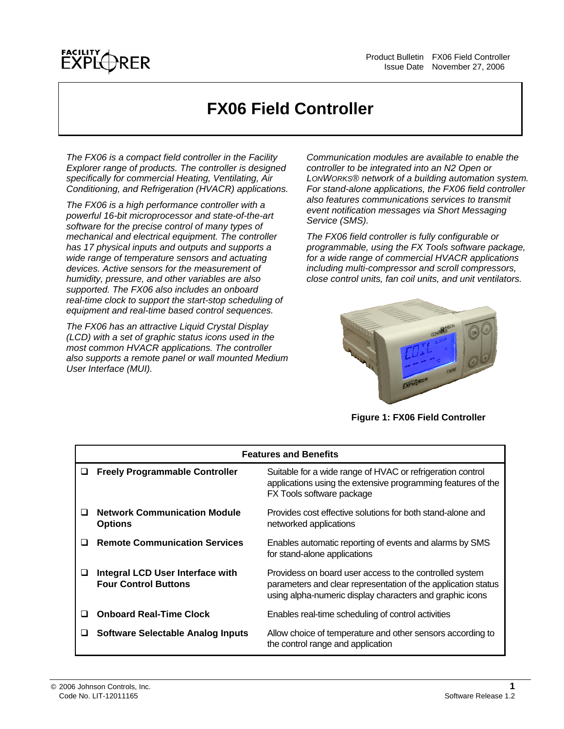

# **FX06 Field Controller**

*The FX06 is a compact field controller in the Facility Explorer range of products. The controller is designed specifically for commercial Heating, Ventilating, Air Conditioning, and Refrigeration (HVACR) applications.* 

*The FX06 is a high performance controller with a powerful 16-bit microprocessor and state-of-the-art software for the precise control of many types of mechanical and electrical equipment. The controller has 17 physical inputs and outputs and supports a wide range of temperature sensors and actuating devices. Active sensors for the measurement of humidity, pressure, and other variables are also supported. The FX06 also includes an onboard real-time clock to support the start-stop scheduling of equipment and real-time based control sequences.* 

*The FX06 has an attractive Liquid Crystal Display (LCD) with a set of graphic status icons used in the most common HVACR applications. The controller also supports a remote panel or wall mounted Medium User Interface (MUI).* 

*Communication modules are available to enable the controller to be integrated into an N2 Open or LONWORKS® network of a building automation system. For stand-alone applications, the FX06 field controller also features communications services to transmit event notification messages via Short Messaging Service (SMS).* 

*The FX06 field controller is fully configurable or programmable, using the FX Tools software package, for a wide range of commercial HVACR applications including multi-compressor and scroll compressors, close control units, fan coil units, and unit ventilators.* 



**Figure 1: FX06 Field Controller** 

| <b>Features and Benefits</b> |                                                                 |                                                                                                                                                                                      |  |  |
|------------------------------|-----------------------------------------------------------------|--------------------------------------------------------------------------------------------------------------------------------------------------------------------------------------|--|--|
| ⊔                            | <b>Freely Programmable Controller</b>                           | Suitable for a wide range of HVAC or refrigeration control<br>applications using the extensive programming features of the<br>FX Tools software package                              |  |  |
| $\Box$                       | <b>Network Communication Module</b><br><b>Options</b>           | Provides cost effective solutions for both stand-alone and<br>networked applications                                                                                                 |  |  |
| $\Box$                       | <b>Remote Communication Services</b>                            | Enables automatic reporting of events and alarms by SMS<br>for stand-alone applications                                                                                              |  |  |
| ப                            | Integral LCD User Interface with<br><b>Four Control Buttons</b> | Providess on board user access to the controlled system<br>parameters and clear representation of the application status<br>using alpha-numeric display characters and graphic icons |  |  |
| $\Box$                       | <b>Onboard Real-Time Clock</b>                                  | Enables real-time scheduling of control activities                                                                                                                                   |  |  |
| ⊔                            | <b>Software Selectable Analog Inputs</b>                        | Allow choice of temperature and other sensors according to<br>the control range and application                                                                                      |  |  |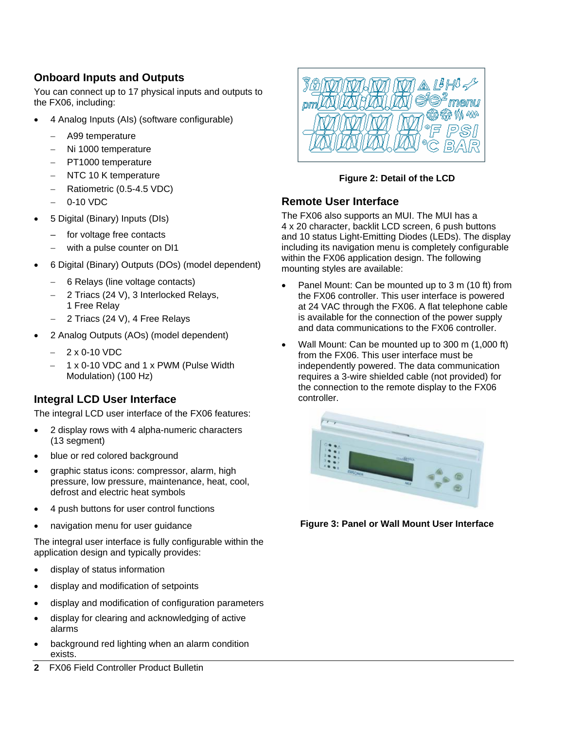# **Onboard Inputs and Outputs**

You can connect up to 17 physical inputs and outputs to the FX06, including:

- 4 Analog Inputs (AIs) (software configurable)
	- − A99 temperature
	- − Ni 1000 temperature
	- − PT1000 temperature
	- − NTC 10 K temperature
	- − Ratiometric (0.5-4.5 VDC)
	- 0-10 VDC
- 5 Digital (Binary) Inputs (DIs)
	- for voltage free contacts
	- with a pulse counter on DI1
- 6 Digital (Binary) Outputs (DOs) (model dependent)
	- − 6 Relays (line voltage contacts)
	- 2 Triacs (24 V), 3 Interlocked Relays, 1 Free Relay
	- 2 Triacs (24 V), 4 Free Relays
- 2 Analog Outputs (AOs) (model dependent)
	- − 2 x 0-10 VDC
	- − 1 x 0-10 VDC and 1 x PWM (Pulse Width Modulation) (100 Hz)

# **Integral LCD User Interface**

The integral LCD user interface of the FX06 features:

- 2 display rows with 4 alpha-numeric characters (13 segment)
- blue or red colored background
- graphic status icons: compressor, alarm, high pressure, low pressure, maintenance, heat, cool, defrost and electric heat symbols
- 4 push buttons for user control functions
- navigation menu for user guidance

The integral user interface is fully configurable within the application design and typically provides:

- display of status information
- display and modification of setpoints
- display and modification of configuration parameters
- display for clearing and acknowledging of active alarms
- background red lighting when an alarm condition exists.
- **2** FX06 Field Controller Product Bulletin



### **Figure 2: Detail of the LCD**

### **Remote User Interface**

The FX06 also supports an MUI. The MUI has a 4 x 20 character, backlit LCD screen, 6 push buttons and 10 status Light-Emitting Diodes (LEDs). The display including its navigation menu is completely configurable within the FX06 application design. The following mounting styles are available:

- Panel Mount: Can be mounted up to 3 m (10 ft) from the FX06 controller. This user interface is powered at 24 VAC through the FX06. A flat telephone cable is available for the connection of the power supply and data communications to the FX06 controller.
- Wall Mount: Can be mounted up to 300 m (1,000 ft) from the FX06. This user interface must be independently powered. The data communication requires a 3-wire shielded cable (not provided) for the connection to the remote display to the FX06 controller.



**Figure 3: Panel or Wall Mount User Interface**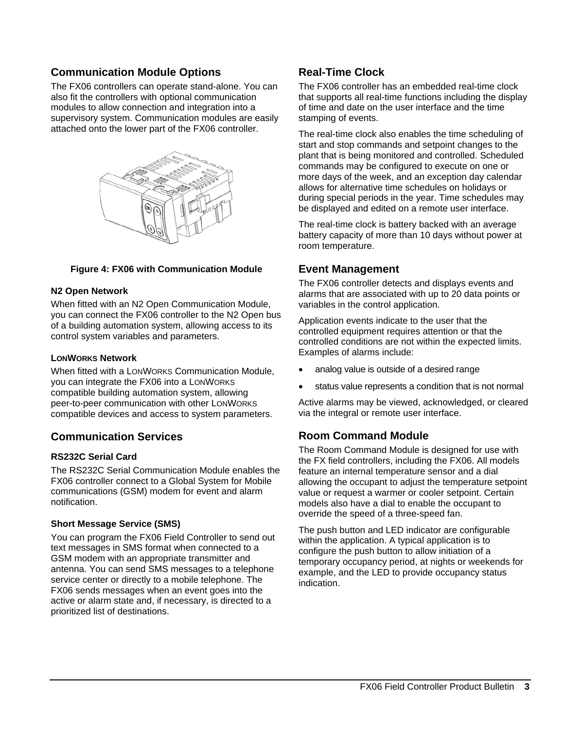# **Communication Module Options**

The FX06 controllers can operate stand-alone. You can also fit the controllers with optional communication modules to allow connection and integration into a supervisory system. Communication modules are easily attached onto the lower part of the FX06 controller.



#### **Figure 4: FX06 with Communication Module**

#### **N2 Open Network**

When fitted with an N2 Open Communication Module, you can connect the FX06 controller to the N2 Open bus of a building automation system, allowing access to its control system variables and parameters.

#### **LONWORKS Network**

When fitted with a LONWORKS Communication Module, you can integrate the FX06 into a LONWORKS compatible building automation system, allowing peer-to-peer communication with other LONWORKS compatible devices and access to system parameters.

### **Communication Services**

#### **RS232C Serial Card**

The RS232C Serial Communication Module enables the FX06 controller connect to a Global System for Mobile communications (GSM) modem for event and alarm notification.

### **Short Message Service (SMS)**

You can program the FX06 Field Controller to send out text messages in SMS format when connected to a GSM modem with an appropriate transmitter and antenna. You can send SMS messages to a telephone service center or directly to a mobile telephone. The FX06 sends messages when an event goes into the active or alarm state and, if necessary, is directed to a prioritized list of destinations.

### **Real-Time Clock**

The FX06 controller has an embedded real-time clock that supports all real-time functions including the display of time and date on the user interface and the time stamping of events.

The real-time clock also enables the time scheduling of start and stop commands and setpoint changes to the plant that is being monitored and controlled. Scheduled commands may be configured to execute on one or more days of the week, and an exception day calendar allows for alternative time schedules on holidays or during special periods in the year. Time schedules may be displayed and edited on a remote user interface.

The real-time clock is battery backed with an average battery capacity of more than 10 days without power at room temperature.

### **Event Management**

The FX06 controller detects and displays events and alarms that are associated with up to 20 data points or variables in the control application.

Application events indicate to the user that the controlled equipment requires attention or that the controlled conditions are not within the expected limits. Examples of alarms include:

- analog value is outside of a desired range
- status value represents a condition that is not normal

Active alarms may be viewed, acknowledged, or cleared via the integral or remote user interface.

### **Room Command Module**

The Room Command Module is designed for use with the FX field controllers, including the FX06. All models feature an internal temperature sensor and a dial allowing the occupant to adjust the temperature setpoint value or request a warmer or cooler setpoint. Certain models also have a dial to enable the occupant to override the speed of a three-speed fan.

The push button and LED indicator are configurable within the application. A typical application is to configure the push button to allow initiation of a temporary occupancy period, at nights or weekends for example, and the LED to provide occupancy status indication.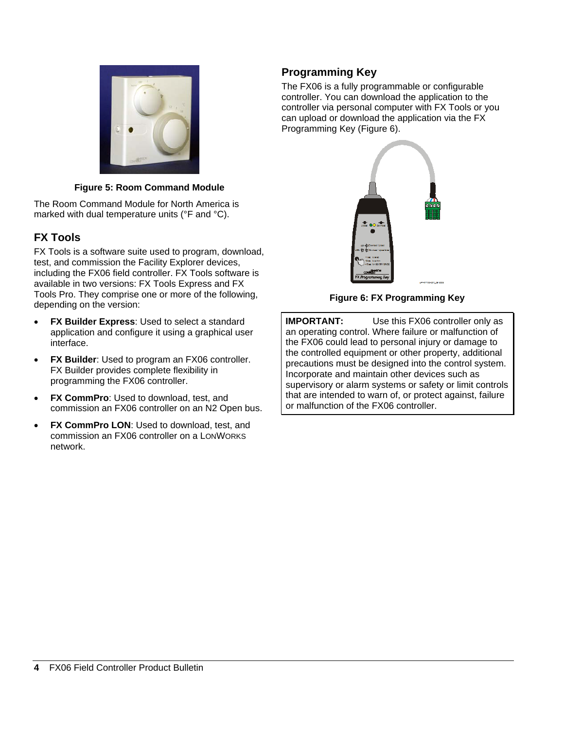

### **Figure 5: Room Command Module**

The Room Command Module for North America is marked with dual temperature units (°F and °C).

# **FX Tools**

FX Tools is a software suite used to program, download, test, and commission the Facility Explorer devices, including the FX06 field controller. FX Tools software is available in two versions: FX Tools Express and FX Tools Pro. They comprise one or more of the following, depending on the version:

- <span id="page-3-0"></span>**FX Builder Express: Used to select a standard** application and configure it using a graphical user interface.
- **FX Builder:** Used to program an FX06 controller. FX Builder provides complete flexibility in programming the FX06 controller.
- **FX CommPro:** Used to download, test, and commission an FX06 controller on an N2 Open bus.
- **FX CommPro LON: Used to download, test, and** commission an FX06 controller on a LONWORKS network.

# **Programming Key**

The FX06 is a fully programmable or configurable controller. You can download the application to the controller via personal computer with FX Tools or you can upload or download the application via the FX Programming Key [\(Figure 6\)](#page-3-0).



**Figure 6: FX Programming Key** 

**IMPORTANT:** Use this FX06 controller only as an operating control. Where failure or malfunction of the FX06 could lead to personal injury or damage to the controlled equipment or other property, additional precautions must be designed into the control system. Incorporate and maintain other devices such as supervisory or alarm systems or safety or limit controls that are intended to warn of, or protect against, failure or malfunction of the FX06 controller.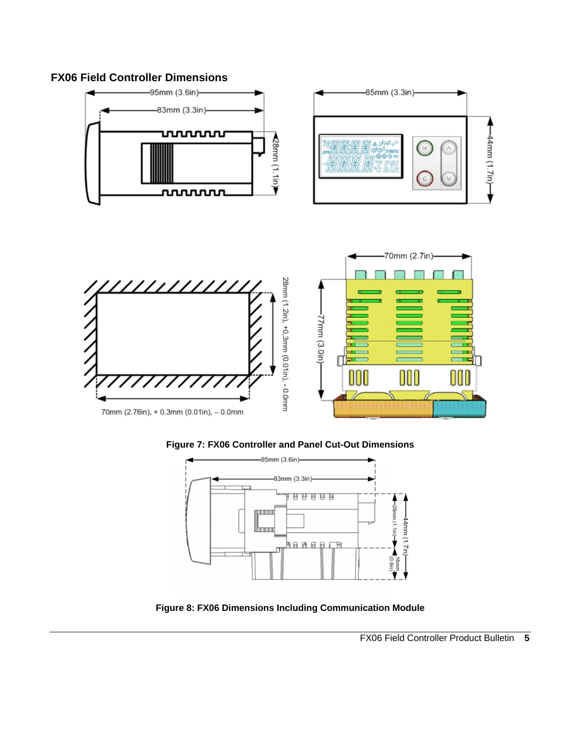# **FX06 Field Controller Dimensions**







**Figure 8: FX06 Dimensions Including Communication Module**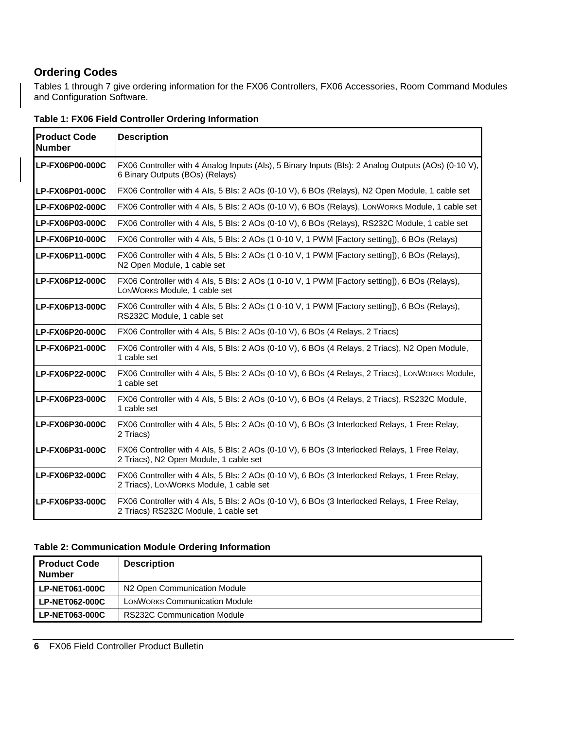## **Ordering Codes**

Tables 1 through 7 give ordering information for the FX06 Controllers, FX06 Accessories, Room Command Modules and Configuration Software.

| <b>Product Code</b><br><b>Number</b>                                                                             | <b>Description</b>                                                                                                                       |
|------------------------------------------------------------------------------------------------------------------|------------------------------------------------------------------------------------------------------------------------------------------|
| LP-FX06P00-000C                                                                                                  | FX06 Controller with 4 Analog Inputs (Als), 5 Binary Inputs (Bls): 2 Analog Outputs (AOs) (0-10 V),<br>6 Binary Outputs (BOs) (Relays)   |
| LP-FX06P01-000C                                                                                                  | FX06 Controller with 4 Als, 5 Bls: 2 AOs (0-10 V), 6 BOs (Relays), N2 Open Module, 1 cable set                                           |
| LP-FX06P02-000C                                                                                                  | FX06 Controller with 4 Als, 5 Bls: 2 AOs (0-10 V), 6 BOs (Relays), LONWORKS Module, 1 cable set                                          |
| FX06 Controller with 4 Als, 5 Bls: 2 AOs (0-10 V), 6 BOs (Relays), RS232C Module, 1 cable set<br>LP-FX06P03-000C |                                                                                                                                          |
| LP-FX06P10-000C                                                                                                  | FX06 Controller with 4 Als, 5 Bls: 2 AOs (1 0-10 V, 1 PWM [Factory setting]), 6 BOs (Relays)                                             |
| LP-FX06P11-000C                                                                                                  | FX06 Controller with 4 Als, 5 Bls: 2 AOs (1 0-10 V, 1 PWM [Factory setting]), 6 BOs (Relays),<br>N2 Open Module, 1 cable set             |
| LP-FX06P12-000C                                                                                                  | FX06 Controller with 4 Als, 5 Bls: 2 AOs (1 0-10 V, 1 PWM [Factory setting]), 6 BOs (Relays),<br>LONWORKS Module, 1 cable set            |
| LP-FX06P13-000C                                                                                                  | FX06 Controller with 4 Als, 5 Bls: 2 AOs (1 0-10 V, 1 PWM [Factory setting]), 6 BOs (Relays),<br>RS232C Module, 1 cable set              |
| LP-FX06P20-000C                                                                                                  | FX06 Controller with 4 Als, 5 Bls: 2 AOs (0-10 V), 6 BOs (4 Relays, 2 Triacs)                                                            |
| LP-FX06P21-000C                                                                                                  | FX06 Controller with 4 Als, 5 Bls: 2 AOs (0-10 V), 6 BOs (4 Relays, 2 Triacs), N2 Open Module,<br>1 cable set                            |
| LP-FX06P22-000C                                                                                                  | FX06 Controller with 4 Als, 5 Bls: 2 AOs (0-10 V), 6 BOs (4 Relays, 2 Triacs), LONWORKS Module,<br>1 cable set                           |
| LP-FX06P23-000C                                                                                                  | FX06 Controller with 4 Als, 5 Bls: 2 AOs (0-10 V), 6 BOs (4 Relays, 2 Triacs), RS232C Module,<br>1 cable set                             |
| LP-FX06P30-000C                                                                                                  | FX06 Controller with 4 Als, 5 Bls: 2 AOs (0-10 V), 6 BOs (3 Interlocked Relays, 1 Free Relay,<br>2 Triacs)                               |
| LP-FX06P31-000C                                                                                                  | FX06 Controller with 4 Als, 5 Bls: 2 AOs (0-10 V), 6 BOs (3 Interlocked Relays, 1 Free Relay,<br>2 Triacs), N2 Open Module, 1 cable set  |
| LP-FX06P32-000C                                                                                                  | FX06 Controller with 4 Als, 5 Bls: 2 AOs (0-10 V), 6 BOs (3 Interlocked Relays, 1 Free Relay,<br>2 Triacs), LONWORKS Module, 1 cable set |
| LP-FX06P33-000C                                                                                                  | FX06 Controller with 4 Als, 5 Bls: 2 AOs (0-10 V), 6 BOs (3 Interlocked Relays, 1 Free Relay,<br>2 Triacs) RS232C Module, 1 cable set    |

### **Table 1: FX06 Field Controller Ordering Information**

#### **Table 2: Communication Module Ordering Information**

| <b>Product Code</b><br><b>Number</b> | <b>Description</b>                       |
|--------------------------------------|------------------------------------------|
| <b>LP-NET061-000C</b>                | N <sub>2</sub> Open Communication Module |
| <b>LP-NET062-000C</b>                | <b>LONWORKS Communication Module</b>     |
| <b>LP-NET063-000C</b>                | <b>RS232C Communication Module</b>       |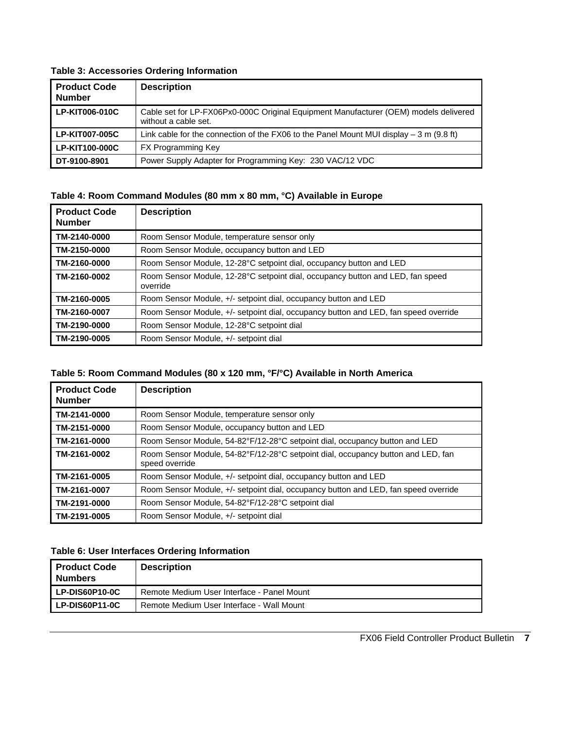### **Table 3: Accessories Ordering Information**

| <b>Product Code</b><br><b>Number</b> | <b>Description</b>                                                                                           |
|--------------------------------------|--------------------------------------------------------------------------------------------------------------|
| LP-KIT006-010C                       | Cable set for LP-FX06Px0-000C Original Equipment Manufacturer (OEM) models delivered<br>without a cable set. |
| <b>LP-KIT007-005C</b>                | Link cable for the connection of the FX06 to the Panel Mount MUI display $-3$ m (9.8 ft)                     |
| LP-KIT100-000C                       | <b>FX Programming Key</b>                                                                                    |
| DT-9100-8901                         | Power Supply Adapter for Programming Key: 230 VAC/12 VDC                                                     |

### **Table 4: Room Command Modules (80 mm x 80 mm, °C) Available in Europe**

| <b>Product Code</b><br><b>Number</b> | <b>Description</b>                                                                         |
|--------------------------------------|--------------------------------------------------------------------------------------------|
| TM-2140-0000                         | Room Sensor Module, temperature sensor only                                                |
| TM-2150-0000                         | Room Sensor Module, occupancy button and LED                                               |
| TM-2160-0000                         | Room Sensor Module, 12-28°C setpoint dial, occupancy button and LED                        |
| TM-2160-0002                         | Room Sensor Module, 12-28°C setpoint dial, occupancy button and LED, fan speed<br>override |
| TM-2160-0005                         | Room Sensor Module, +/- setpoint dial, occupancy button and LED                            |
| TM-2160-0007                         | Room Sensor Module, +/- setpoint dial, occupancy button and LED, fan speed override        |
| TM-2190-0000                         | Room Sensor Module, 12-28°C setpoint dial                                                  |
| TM-2190-0005                         | Room Sensor Module, +/- setpoint dial                                                      |

### **Table 5: Room Command Modules (80 x 120 mm, °F/°C) Available in North America**

| <b>Product Code</b><br><b>Number</b> | <b>Description</b>                                                                                 |
|--------------------------------------|----------------------------------------------------------------------------------------------------|
| TM-2141-0000                         | Room Sensor Module, temperature sensor only                                                        |
| TM-2151-0000                         | Room Sensor Module, occupancy button and LED                                                       |
| TM-2161-0000                         | Room Sensor Module, 54-82°F/12-28°C setpoint dial, occupancy button and LED                        |
| TM-2161-0002                         | Room Sensor Module, 54-82°F/12-28°C setpoint dial, occupancy button and LED, fan<br>speed override |
| TM-2161-0005                         | Room Sensor Module, +/- setpoint dial, occupancy button and LED                                    |
| TM-2161-0007                         | Room Sensor Module, +/- setpoint dial, occupancy button and LED, fan speed override                |
| TM-2191-0000                         | Room Sensor Module, 54-82°F/12-28°C setpoint dial                                                  |
| TM-2191-0005                         | Room Sensor Module, +/- setpoint dial                                                              |

#### **Table 6: User Interfaces Ordering Information**

| <b>Product Code</b><br><b>Numbers</b> | <b>Description</b>                         |
|---------------------------------------|--------------------------------------------|
| LP-DIS60P10-0C                        | Remote Medium User Interface - Panel Mount |
| LP-DIS60P11-0C                        | Remote Medium User Interface - Wall Mount  |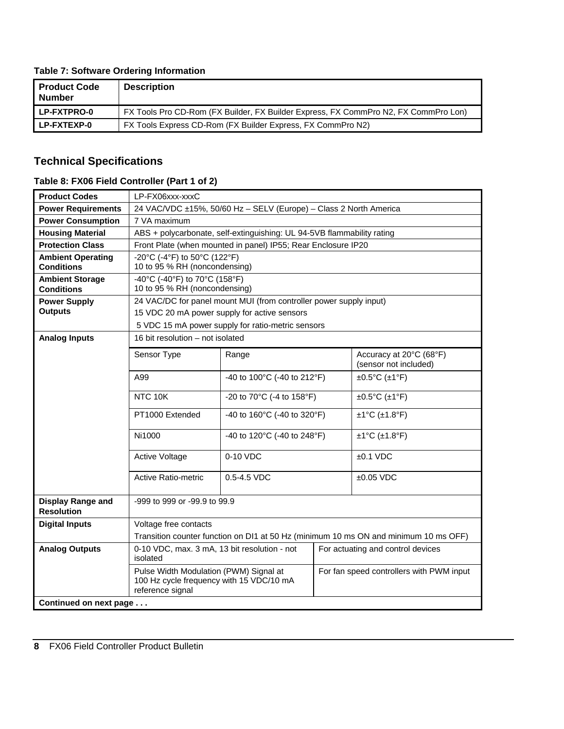### **Table 7: Software Ordering Information**

| l Product Code<br>l Number | <b>Description</b>                                                                  |
|----------------------------|-------------------------------------------------------------------------------------|
| l LP-FXTPRO-0              | FX Tools Pro CD-Rom (FX Builder, FX Builder Express, FX CommPro N2, FX CommPro Lon) |
| l LP-FXTEXP-0              | FX Tools Express CD-Rom (FX Builder Express, FX CommPro N2)                         |

## **Technical Specifications**

### **Table 8: FX06 Field Controller (Part 1 of 2)**

| <b>Product Codes</b>                          | LP-FX06xxx-xxxC                                                                                        |                                                                        |  |                                                  |  |
|-----------------------------------------------|--------------------------------------------------------------------------------------------------------|------------------------------------------------------------------------|--|--------------------------------------------------|--|
| <b>Power Requirements</b>                     | 24 VAC/VDC ±15%, 50/60 Hz - SELV (Europe) - Class 2 North America                                      |                                                                        |  |                                                  |  |
| <b>Power Consumption</b>                      | 7 VA maximum                                                                                           |                                                                        |  |                                                  |  |
| <b>Housing Material</b>                       |                                                                                                        | ABS + polycarbonate, self-extinguishing: UL 94-5VB flammability rating |  |                                                  |  |
| <b>Protection Class</b>                       |                                                                                                        | Front Plate (when mounted in panel) IP55; Rear Enclosure IP20          |  |                                                  |  |
| <b>Ambient Operating</b>                      | -20°C (-4°F) to 50°C (122°F)                                                                           |                                                                        |  |                                                  |  |
| <b>Conditions</b>                             | 10 to 95 % RH (noncondensing)                                                                          |                                                                        |  |                                                  |  |
| <b>Ambient Storage</b><br><b>Conditions</b>   | -40°C (-40°F) to 70°C (158°F)<br>10 to 95 % RH (noncondensing)                                         |                                                                        |  |                                                  |  |
| <b>Power Supply</b>                           |                                                                                                        | 24 VAC/DC for panel mount MUI (from controller power supply input)     |  |                                                  |  |
| <b>Outputs</b>                                | 15 VDC 20 mA power supply for active sensors                                                           |                                                                        |  |                                                  |  |
|                                               |                                                                                                        | 5 VDC 15 mA power supply for ratio-metric sensors                      |  |                                                  |  |
| <b>Analog Inputs</b>                          | 16 bit resolution - not isolated                                                                       |                                                                        |  |                                                  |  |
|                                               | Sensor Type                                                                                            | Range                                                                  |  | Accuracy at 20°C (68°F)<br>(sensor not included) |  |
|                                               | A99                                                                                                    | -40 to 100°C (-40 to 212°F)                                            |  | $\pm 0.5$ °C ( $\pm 1$ °F)                       |  |
|                                               | NTC 10K                                                                                                | -20 to 70°C (-4 to 158°F)                                              |  | $\pm 0.5$ °C ( $\pm 1$ °F)                       |  |
|                                               | PT1000 Extended                                                                                        | -40 to 160°C (-40 to 320°F)                                            |  | $±1°C$ ( $±1.8$ °F)                              |  |
|                                               | Ni1000                                                                                                 | -40 to 120°C (-40 to 248°F)                                            |  | $±1°C$ ( $±1.8°F$ )                              |  |
|                                               | <b>Active Voltage</b>                                                                                  | 0-10 VDC                                                               |  | $±0.1$ VDC                                       |  |
|                                               | <b>Active Ratio-metric</b>                                                                             | $0.5 - 4.5$ VDC                                                        |  | $±0.05$ VDC                                      |  |
| <b>Display Range and</b><br><b>Resolution</b> | -999 to 999 or -99.9 to 99.9                                                                           |                                                                        |  |                                                  |  |
| <b>Digital Inputs</b>                         | Voltage free contacts                                                                                  |                                                                        |  |                                                  |  |
|                                               | Transition counter function on D11 at 50 Hz (minimum 10 ms ON and minimum 10 ms OFF)                   |                                                                        |  |                                                  |  |
| <b>Analog Outputs</b>                         | 0-10 VDC, max. 3 mA, 13 bit resolution - not<br>For actuating and control devices<br>isolated          |                                                                        |  |                                                  |  |
|                                               | Pulse Width Modulation (PWM) Signal at<br>100 Hz cycle frequency with 15 VDC/10 mA<br>reference signal |                                                                        |  | For fan speed controllers with PWM input         |  |
| Continued on next page                        |                                                                                                        |                                                                        |  |                                                  |  |